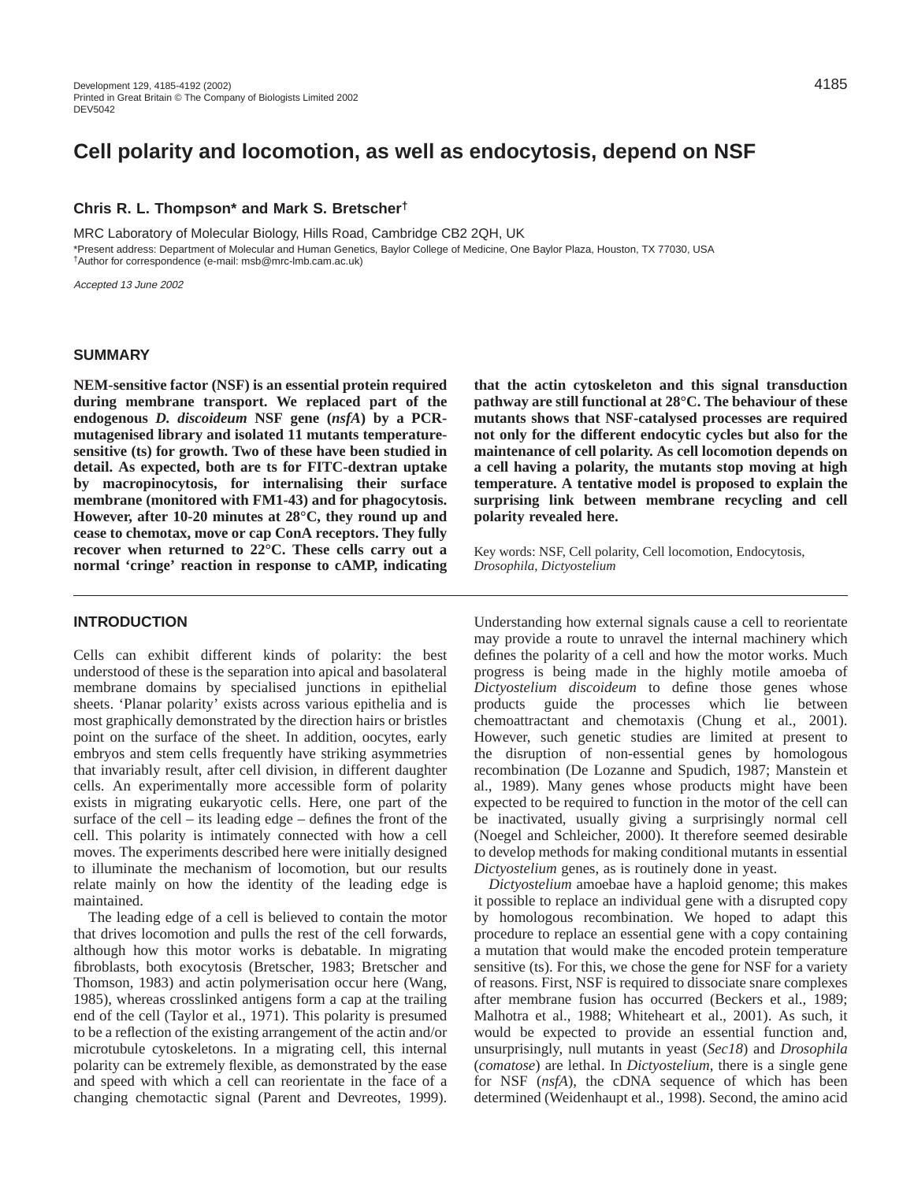## **Chris R. L. Thompson\* and Mark S. Bretscher†**

MRC Laboratory of Molecular Biology, Hills Road, Cambridge CB2 2QH, UK \*Present address: Department of Molecular and Human Genetics, Baylor College of Medicine, One Baylor Plaza, Houston, TX 77030, USA †Author for correspondence (e-mail: msb@mrc-lmb.cam.ac.uk)

Accepted 13 June 2002

## **SUMMARY**

**NEM-sensitive factor (NSF) is an essential protein required during membrane transport. We replaced part of the** endogenous *D. discoideum* NSF gene ( $nsfA$ ) by a PCR**mutagenised library and isolated 11 mutants temperaturesensitive (ts) for growth. Two of these have been studied in detail. As expected, both are ts for FITC-dextran uptake by macropinocytosis, for internalising their surface membrane (monitored with FM1-43) and for phagocytosis. However, after 10-20 minutes at 28°C, they round up and cease to chemotax, move or cap ConA receptors. They fully recover when returned to 22°C. These cells carry out a normal 'cringe' reaction in response to cAMP, indicating**

# **INTRODUCTION**

Cells can exhibit different kinds of polarity: the best understood of these is the separation into apical and basolateral membrane domains by specialised junctions in epithelial sheets. 'Planar polarity' exists across various epithelia and is most graphically demonstrated by the direction hairs or bristles point on the surface of the sheet. In addition, oocytes, early embryos and stem cells frequently have striking asymmetries that invariably result, after cell division, in different daughter cells. An experimentally more accessible form of polarity exists in migrating eukaryotic cells. Here, one part of the surface of the cell – its leading edge – defines the front of the cell. This polarity is intimately connected with how a cell moves. The experiments described here were initially designed to illuminate the mechanism of locomotion, but our results relate mainly on how the identity of the leading edge is maintained.

The leading edge of a cell is believed to contain the motor that drives locomotion and pulls the rest of the cell forwards, although how this motor works is debatable. In migrating fibroblasts, both exocytosis (Bretscher, 1983; Bretscher and Thomson, 1983) and actin polymerisation occur here (Wang, 1985), whereas crosslinked antigens form a cap at the trailing end of the cell (Taylor et al., 1971). This polarity is presumed to be a reflection of the existing arrangement of the actin and/or microtubule cytoskeletons. In a migrating cell, this internal polarity can be extremely flexible, as demonstrated by the ease and speed with which a cell can reorientate in the face of a changing chemotactic signal (Parent and Devreotes, 1999). **that the actin cytoskeleton and this signal transduction pathway are still functional at 28°C. The behaviour of these mutants shows that NSF-catalysed processes are required not only for the different endocytic cycles but also for the maintenance of cell polarity. As cell locomotion depends on a cell having a polarity, the mutants stop moving at high temperature. A tentative model is proposed to explain the surprising link between membrane recycling and cell polarity revealed here.**

Key words: NSF, Cell polarity, Cell locomotion, Endocytosis, *Drosophila*, *Dictyostelium*

Understanding how external signals cause a cell to reorientate may provide a route to unravel the internal machinery which defines the polarity of a cell and how the motor works. Much progress is being made in the highly motile amoeba of *Dictyostelium discoideum* to define those genes whose products guide the processes which lie between chemoattractant and chemotaxis (Chung et al., 2001). However, such genetic studies are limited at present to the disruption of non-essential genes by homologous recombination (De Lozanne and Spudich, 1987; Manstein et al., 1989). Many genes whose products might have been expected to be required to function in the motor of the cell can be inactivated, usually giving a surprisingly normal cell (Noegel and Schleicher, 2000). It therefore seemed desirable to develop methods for making conditional mutants in essential *Dictyostelium* genes, as is routinely done in yeast.

*Dictyostelium* amoebae have a haploid genome; this makes it possible to replace an individual gene with a disrupted copy by homologous recombination. We hoped to adapt this procedure to replace an essential gene with a copy containing a mutation that would make the encoded protein temperature sensitive (ts). For this, we chose the gene for NSF for a variety of reasons. First, NSF is required to dissociate snare complexes after membrane fusion has occurred (Beckers et al., 1989; Malhotra et al., 1988; Whiteheart et al., 2001). As such, it would be expected to provide an essential function and, unsurprisingly, null mutants in yeast (*Sec18*) and *Drosophila* (*comatose*) are lethal. In *Dictyostelium*, there is a single gene for NSF (*nsfA*), the cDNA sequence of which has been determined (Weidenhaupt et al., 1998). Second, the amino acid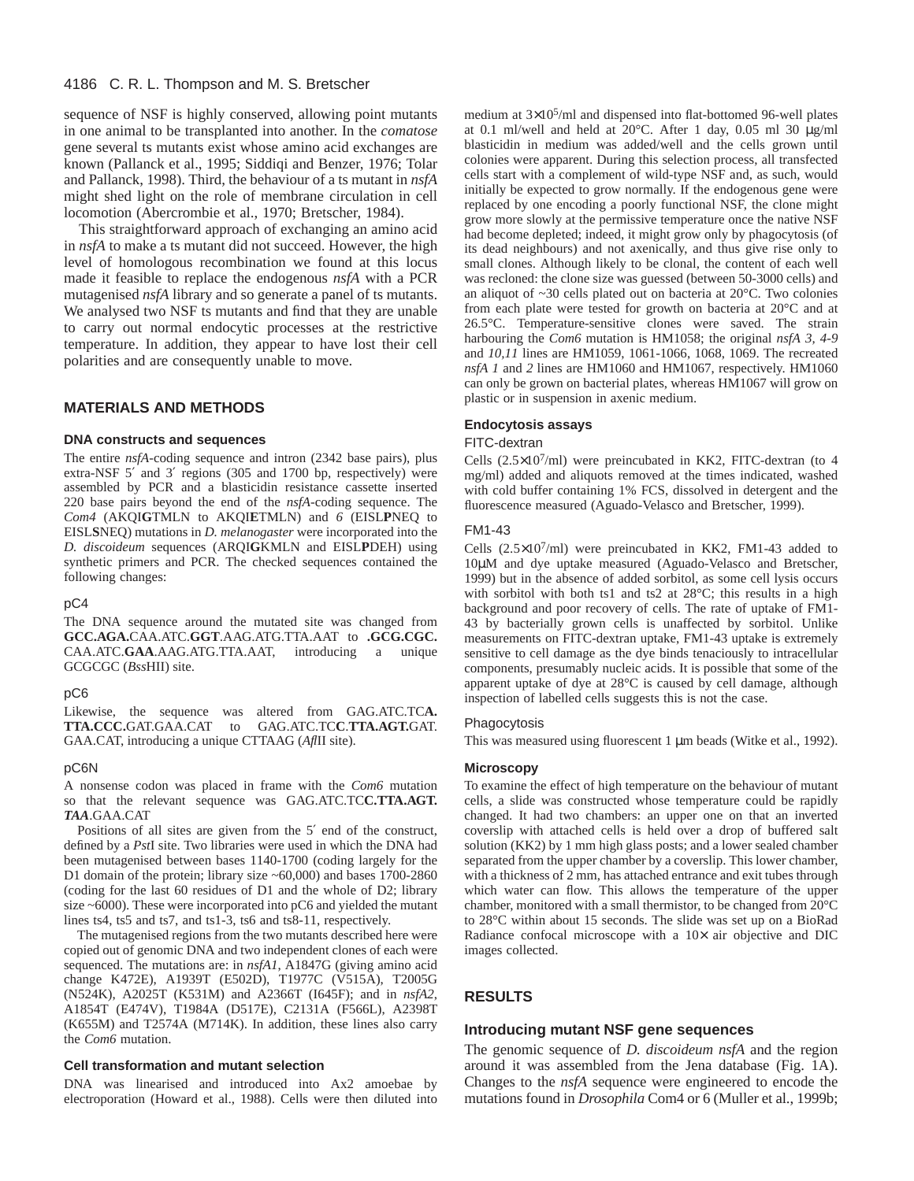sequence of NSF is highly conserved, allowing point mutants in one animal to be transplanted into another. In the *comatose* gene several ts mutants exist whose amino acid exchanges are known (Pallanck et al., 1995; Siddiqi and Benzer, 1976; Tolar and Pallanck, 1998). Third, the behaviour of a ts mutant in *nsfA* might shed light on the role of membrane circulation in cell locomotion (Abercrombie et al., 1970; Bretscher, 1984).

This straightforward approach of exchanging an amino acid in *nsfA* to make a ts mutant did not succeed. However, the high level of homologous recombination we found at this locus made it feasible to replace the endogenous *nsfA* with a PCR mutagenised *nsfA* library and so generate a panel of ts mutants. We analysed two NSF ts mutants and find that they are unable to carry out normal endocytic processes at the restrictive temperature. In addition, they appear to have lost their cell polarities and are consequently unable to move.

## **MATERIALS AND METHODS**

#### **DNA constructs and sequences**

The entire *nsfA*-coding sequence and intron (2342 base pairs), plus extra-NSF 5′ and 3′ regions (305 and 1700 bp, respectively) were assembled by PCR and a blasticidin resistance cassette inserted 220 base pairs beyond the end of the *nsfA*-coding sequence. The *Com4* (AKQI**G**TMLN to AKQI**E**TMLN) and *6* (EISL**P**NEQ to EISL**S**NEQ) mutations in *D. melanogaster* were incorporated into the *D. discoideum* sequences (ARQI**G**KMLN and EISL**P**DEH) using synthetic primers and PCR. The checked sequences contained the following changes:

#### pC4

The DNA sequence around the mutated site was changed from **GCC.AGA.**CAA.ATC.**GGT**.AAG.ATG.TTA.AAT to **.GCG.CGC.** CAA.ATC.**GAA**.AAG.ATG.TTA.AAT, introducing a unique GCGCGC (*Bss*HII) site.

#### pC6

Likewise, the sequence was altered from GAG.ATC.TC**A. TTA.CCC.**GAT.GAA.CAT to GAG.ATC.TC**C**.**TTA.AGT.**GAT. GAA.CAT, introducing a unique CTTAAG (*Afl*II site).

#### pC6N

A nonsense codon was placed in frame with the *Com6* mutation so that the relevant sequence was GAG.ATC.TC**C.TTA.AGT.** *TAA*.GAA.CAT

Positions of all sites are given from the 5′ end of the construct, defined by a *Pst*I site. Two libraries were used in which the DNA had been mutagenised between bases 1140-1700 (coding largely for the D1 domain of the protein; library size ~60,000) and bases 1700-2860 (coding for the last 60 residues of D1 and the whole of D2; library size ~6000). These were incorporated into pC6 and yielded the mutant lines ts4, ts5 and ts7, and ts1-3, ts6 and ts8-11, respectively.

The mutagenised regions from the two mutants described here were copied out of genomic DNA and two independent clones of each were sequenced. The mutations are: in *nsfA1*, A1847G (giving amino acid change K472E), A1939T (E502D), T1977C (V515A), T2005G (N524K), A2025T (K531M) and A2366T (I645F); and in *nsfA2*, A1854T (E474V), T1984A (D517E), C2131A (F566L), A2398T (K655M) and T2574A (M714K). In addition, these lines also carry the *Com6* mutation.

#### **Cell transformation and mutant selection**

DNA was linearised and introduced into Ax2 amoebae by electroporation (Howard et al., 1988). Cells were then diluted into

medium at 3×105/ml and dispensed into flat-bottomed 96-well plates at 0.1 ml/well and held at  $20^{\circ}$ C. After 1 day, 0.05 ml 30  $\mu$ g/ml blasticidin in medium was added/well and the cells grown until colonies were apparent. During this selection process, all transfected cells start with a complement of wild-type NSF and, as such, would initially be expected to grow normally. If the endogenous gene were replaced by one encoding a poorly functional NSF, the clone might grow more slowly at the permissive temperature once the native NSF had become depleted; indeed, it might grow only by phagocytosis (of its dead neighbours) and not axenically, and thus give rise only to small clones. Although likely to be clonal, the content of each well was recloned: the clone size was guessed (between 50-3000 cells) and an aliquot of ~30 cells plated out on bacteria at 20°C. Two colonies from each plate were tested for growth on bacteria at 20°C and at 26.5°C. Temperature-sensitive clones were saved. The strain harbouring the *Com6* mutation is HM1058; the original *nsfA 3, 4-9* and *10,11* lines are HM1059, 1061-1066, 1068, 1069. The recreated *nsfA 1* and *2* lines are HM1060 and HM1067, respectively. HM1060 can only be grown on bacterial plates, whereas HM1067 will grow on plastic or in suspension in axenic medium.

#### **Endocytosis assays**

## FITC-dextran

Cells  $(2.5\times10^7/\text{ml})$  were preincubated in KK2, FITC-dextran (to 4 mg/ml) added and aliquots removed at the times indicated, washed with cold buffer containing 1% FCS, dissolved in detergent and the fluorescence measured (Aguado-Velasco and Bretscher, 1999).

## FM1-43

Cells (2.5×107/ml) were preincubated in KK2, FM1-43 added to 10µM and dye uptake measured (Aguado-Velasco and Bretscher, 1999) but in the absence of added sorbitol, as some cell lysis occurs with sorbitol with both ts1 and ts2 at 28°C; this results in a high background and poor recovery of cells. The rate of uptake of FM1- 43 by bacterially grown cells is unaffected by sorbitol. Unlike measurements on FITC-dextran uptake, FM1-43 uptake is extremely sensitive to cell damage as the dye binds tenaciously to intracellular components, presumably nucleic acids. It is possible that some of the apparent uptake of dye at 28°C is caused by cell damage, although inspection of labelled cells suggests this is not the case.

#### Phagocytosis

This was measured using fluorescent 1  $\mu$ m beads (Witke et al., 1992).

## **Microscopy**

To examine the effect of high temperature on the behaviour of mutant cells, a slide was constructed whose temperature could be rapidly changed. It had two chambers: an upper one on that an inverted coverslip with attached cells is held over a drop of buffered salt solution (KK2) by 1 mm high glass posts; and a lower sealed chamber separated from the upper chamber by a coverslip. This lower chamber, with a thickness of 2 mm, has attached entrance and exit tubes through which water can flow. This allows the temperature of the upper chamber, monitored with a small thermistor, to be changed from 20°C to 28°C within about 15 seconds. The slide was set up on a BioRad Radiance confocal microscope with a  $10\times$  air objective and DIC images collected.

# **RESULTS**

#### **Introducing mutant NSF gene sequences**

The genomic sequence of *D. discoideum nsfA* and the region around it was assembled from the Jena database (Fig. 1A). Changes to the *nsfA* sequence were engineered to encode the mutations found in *Drosophila* Com4 or 6 (Muller et al., 1999b;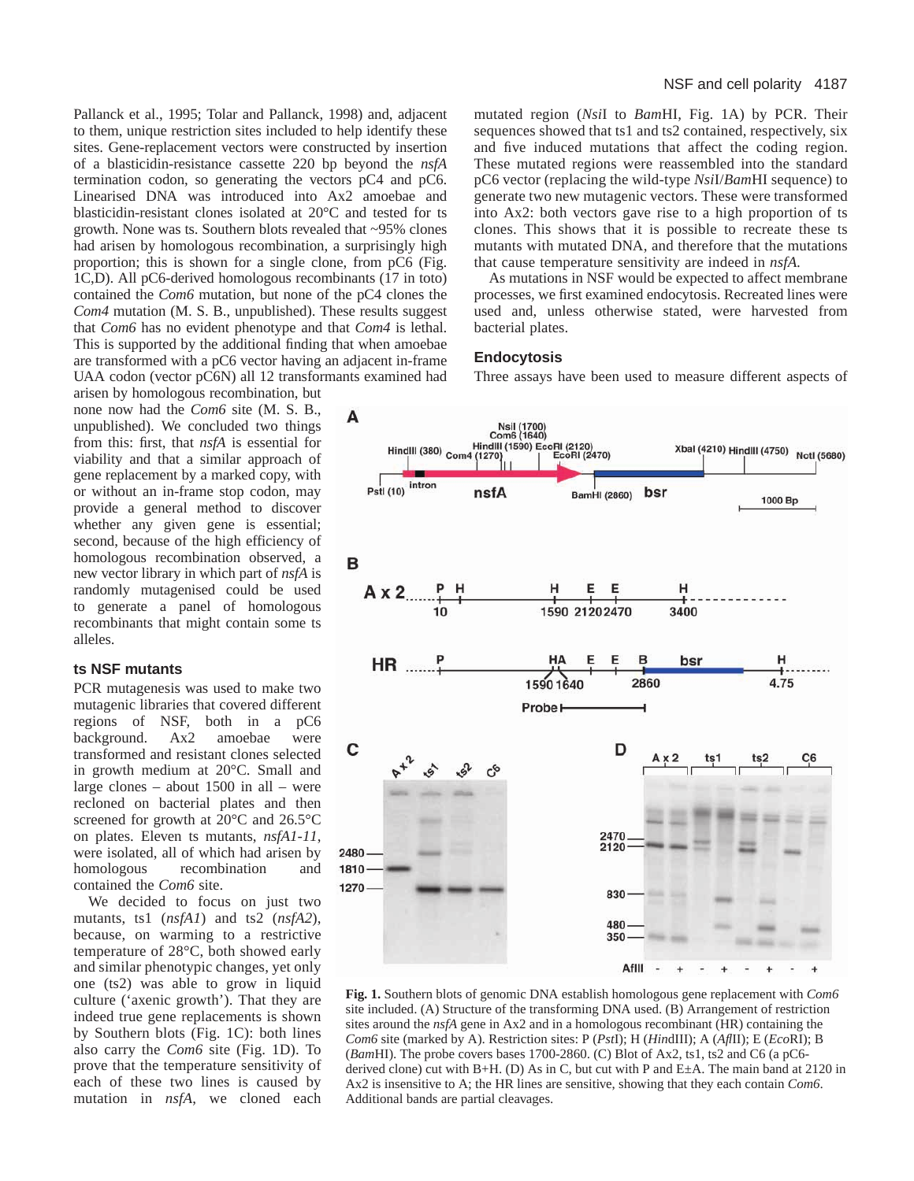Pallanck et al., 1995; Tolar and Pallanck, 1998) and, adjacent to them, unique restriction sites included to help identify these sites. Gene-replacement vectors were constructed by insertion of a blasticidin-resistance cassette 220 bp beyond the *nsfA* termination codon, so generating the vectors pC4 and pC6. Linearised DNA was introduced into Ax2 amoebae and blasticidin-resistant clones isolated at 20°C and tested for ts growth. None was ts. Southern blots revealed that ~95% clones had arisen by homologous recombination, a surprisingly high proportion; this is shown for a single clone, from pC6 (Fig. 1C,D). All pC6-derived homologous recombinants (17 in toto) contained the *Com6* mutation, but none of the pC4 clones the *Com4* mutation (M. S. B., unpublished). These results suggest that *Com6* has no evident phenotype and that *Com4* is lethal. This is supported by the additional finding that when amoebae are transformed with a pC6 vector having an adjacent in-frame UAA codon (vector pC6N) all 12 transformants examined had

arisen by homologous recombination, but none now had the *Com6* site (M. S. B., unpublished). We concluded two things from this: first, that *nsfA* is essential for viability and that a similar approach of gene replacement by a marked copy, with or without an in-frame stop codon, may provide a general method to discover whether any given gene is essential; second, because of the high efficiency of homologous recombination observed, a new vector library in which part of *nsfA* is randomly mutagenised could be used to generate a panel of homologous recombinants that might contain some ts alleles.

## **ts NSF mutants**

PCR mutagenesis was used to make two mutagenic libraries that covered different regions of NSF, both in a pC6 background. Ax2 amoebae were transformed and resistant clones selected in growth medium at 20°C. Small and large clones – about 1500 in all – were recloned on bacterial plates and then screened for growth at 20°C and 26.5°C on plates. Eleven ts mutants, *nsfA1-11*, were isolated, all of which had arisen by homologous recombination and contained the *Com6* site.

We decided to focus on just two mutants, ts1 (*nsfA1*) and ts2 (*nsfA2*), because, on warming to a restrictive temperature of 28°C, both showed early and similar phenotypic changes, yet only one (ts2) was able to grow in liquid culture ('axenic growth'). That they are indeed true gene replacements is shown by Southern blots (Fig. 1C): both lines also carry the *Com6* site (Fig. 1D). To prove that the temperature sensitivity of each of these two lines is caused by mutation in *nsfA*, we cloned each mutated region (*Nsi*I to *Bam*HI, Fig. 1A) by PCR. Their sequences showed that ts1 and ts2 contained, respectively, six and five induced mutations that affect the coding region. These mutated regions were reassembled into the standard pC6 vector (replacing the wild-type *Nsi*I/*Bam*HI sequence) to generate two new mutagenic vectors. These were transformed into Ax2: both vectors gave rise to a high proportion of ts clones. This shows that it is possible to recreate these ts mutants with mutated DNA, and therefore that the mutations that cause temperature sensitivity are indeed in *nsfA.*

As mutations in NSF would be expected to affect membrane processes, we first examined endocytosis. Recreated lines were used and, unless otherwise stated, were harvested from bacterial plates.

## **Endocytosis**

Three assays have been used to measure different aspects of



**Fig. 1.** Southern blots of genomic DNA establish homologous gene replacement with *Com6* site included. (A) Structure of the transforming DNA used. (B) Arrangement of restriction sites around the *nsfA* gene in Ax2 and in a homologous recombinant (HR) containing the *Com6* site (marked by A). Restriction sites: P (*Pst*I); H (*Hin*dIII); A (*Afl*II); E (*Eco*RI); B (*Bam*HI). The probe covers bases 1700-2860. (C) Blot of Ax2, ts1, ts2 and C6 (a pC6 derived clone) cut with B+H. (D) As in C, but cut with P and  $E\pm A$ . The main band at 2120 in Ax2 is insensitive to A; the HR lines are sensitive, showing that they each contain *Com6*. Additional bands are partial cleavages.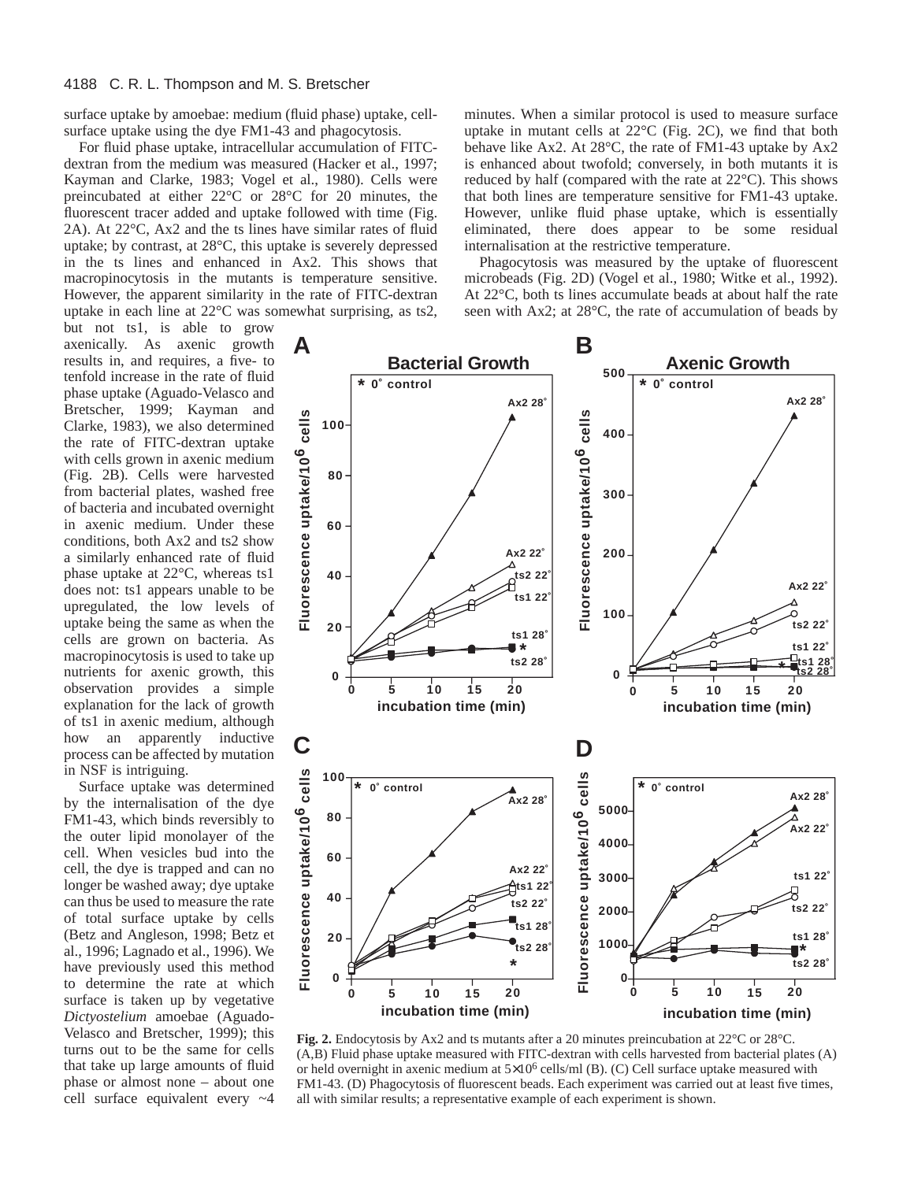surface uptake by amoebae: medium (fluid phase) uptake, cellsurface uptake using the dye FM1-43 and phagocytosis.

For fluid phase uptake, intracellular accumulation of FITCdextran from the medium was measured (Hacker et al., 1997; Kayman and Clarke, 1983; Vogel et al., 1980). Cells were preincubated at either 22°C or 28°C for 20 minutes, the fluorescent tracer added and uptake followed with time (Fig. 2A). At 22°C, Ax2 and the ts lines have similar rates of fluid uptake; by contrast, at 28°C, this uptake is severely depressed in the ts lines and enhanced in Ax2. This shows that macropinocytosis in the mutants is temperature sensitive. However, the apparent similarity in the rate of FITC-dextran uptake in each line at 22°C was somewhat surprising, as ts2,

but not ts1, is able to grow axenically. As axenic growth results in, and requires, a five- to tenfold increase in the rate of fluid phase uptake (Aguado-Velasco and Bretscher, 1999; Kayman and Clarke, 1983), we also determined the rate of FITC-dextran uptake with cells grown in axenic medium (Fig. 2B). Cells were harvested from bacterial plates, washed free of bacteria and incubated overnight in axenic medium. Under these conditions, both Ax2 and ts2 show a similarly enhanced rate of fluid phase uptake at 22°C, whereas ts1 does not: ts1 appears unable to be upregulated, the low levels of uptake being the same as when the cells are grown on bacteria. As macropinocytosis is used to take up nutrients for axenic growth, this observation provides a simple explanation for the lack of growth of ts1 in axenic medium, although how an apparently inductive process can be affected by mutation in NSF is intriguing.

Surface uptake was determined by the internalisation of the dye FM1-43, which binds reversibly to the outer lipid monolayer of the cell. When vesicles bud into the cell, the dye is trapped and can no longer be washed away; dye uptake can thus be used to measure the rate of total surface uptake by cells (Betz and Angleson, 1998; Betz et al., 1996; Lagnado et al., 1996). We have previously used this method to determine the rate at which surface is taken up by vegetative *Dictyostelium* amoebae (Aguado-Velasco and Bretscher, 1999); this turns out to be the same for cells that take up large amounts of fluid phase or almost none – about one cell surface equivalent every ~4

minutes. When a similar protocol is used to measure surface uptake in mutant cells at 22°C (Fig. 2C), we find that both behave like Ax2. At 28°C, the rate of FM1-43 uptake by Ax2 is enhanced about twofold; conversely, in both mutants it is reduced by half (compared with the rate at 22°C). This shows that both lines are temperature sensitive for FM1-43 uptake. However, unlike fluid phase uptake, which is essentially eliminated, there does appear to be some residual internalisation at the restrictive temperature.

Phagocytosis was measured by the uptake of fluorescent microbeads (Fig. 2D) (Vogel et al., 1980; Witke et al., 1992). At 22°C, both ts lines accumulate beads at about half the rate seen with Ax2; at 28°C, the rate of accumulation of beads by



**Fig. 2.** Endocytosis by Ax2 and ts mutants after a 20 minutes preincubation at 22°C or 28°C. (A,B) Fluid phase uptake measured with FITC-dextran with cells harvested from bacterial plates (A) or held overnight in axenic medium at  $5\times10^6$  cells/ml (B). (C) Cell surface uptake measured with FM1-43. (D) Phagocytosis of fluorescent beads. Each experiment was carried out at least five times, all with similar results; a representative example of each experiment is shown.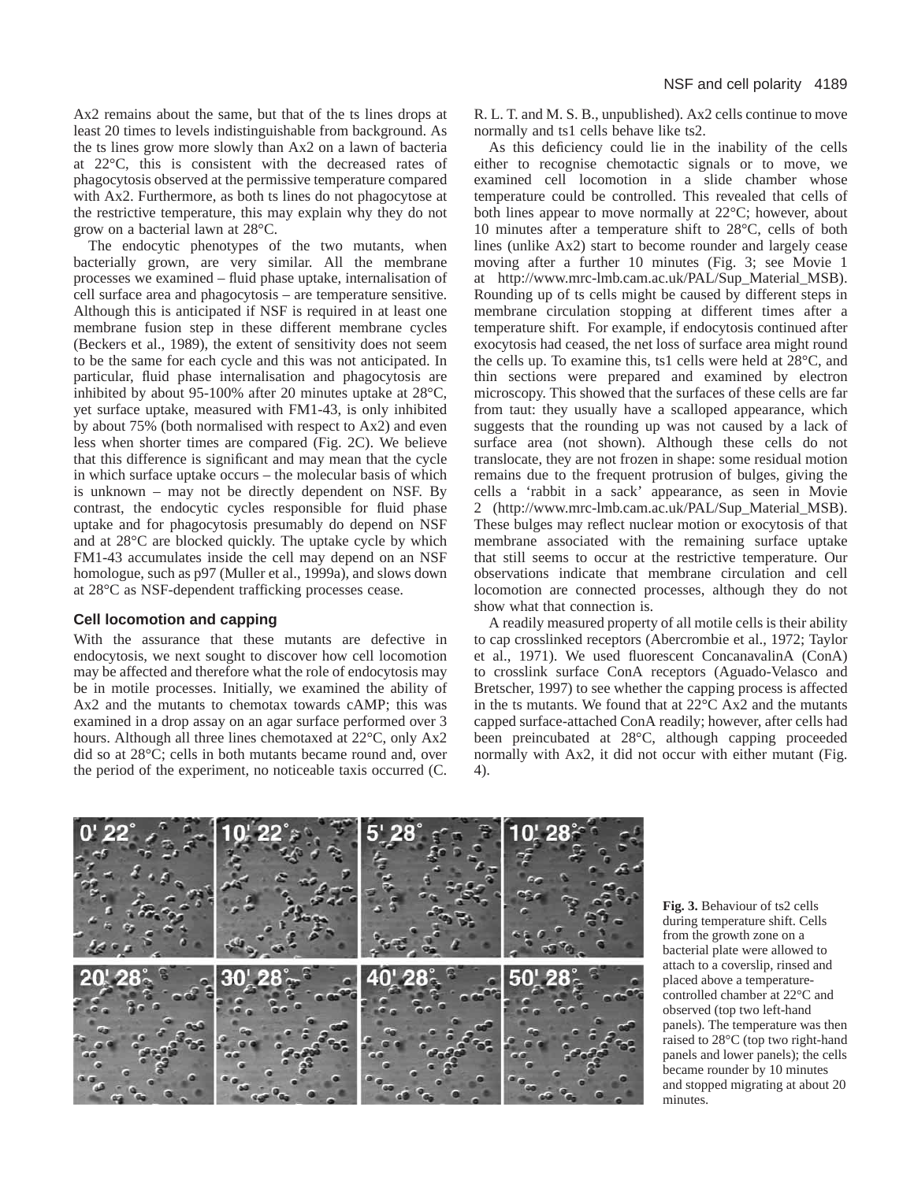Ax2 remains about the same, but that of the ts lines drops at least 20 times to levels indistinguishable from background. As the ts lines grow more slowly than Ax2 on a lawn of bacteria at 22°C, this is consistent with the decreased rates of phagocytosis observed at the permissive temperature compared with Ax2. Furthermore, as both ts lines do not phagocytose at the restrictive temperature, this may explain why they do not grow on a bacterial lawn at 28°C.

The endocytic phenotypes of the two mutants, when bacterially grown, are very similar. All the membrane processes we examined – fluid phase uptake, internalisation of cell surface area and phagocytosis – are temperature sensitive. Although this is anticipated if NSF is required in at least one membrane fusion step in these different membrane cycles (Beckers et al., 1989), the extent of sensitivity does not seem to be the same for each cycle and this was not anticipated. In particular, fluid phase internalisation and phagocytosis are inhibited by about 95-100% after 20 minutes uptake at 28°C, yet surface uptake, measured with FM1-43, is only inhibited by about 75% (both normalised with respect to Ax2) and even less when shorter times are compared (Fig. 2C). We believe that this difference is significant and may mean that the cycle in which surface uptake occurs – the molecular basis of which is unknown – may not be directly dependent on NSF. By contrast, the endocytic cycles responsible for fluid phase uptake and for phagocytosis presumably do depend on NSF and at 28°C are blocked quickly. The uptake cycle by which FM1-43 accumulates inside the cell may depend on an NSF homologue, such as p97 (Muller et al., 1999a), and slows down at 28°C as NSF-dependent trafficking processes cease.

## **Cell locomotion and capping**

With the assurance that these mutants are defective in endocytosis, we next sought to discover how cell locomotion may be affected and therefore what the role of endocytosis may be in motile processes. Initially, we examined the ability of Ax2 and the mutants to chemotax towards cAMP; this was examined in a drop assay on an agar surface performed over 3 hours. Although all three lines chemotaxed at 22°C, only Ax2 did so at 28°C; cells in both mutants became round and, over the period of the experiment, no noticeable taxis occurred (C.

R. L. T. and M. S. B., unpublished). Ax2 cells continue to move normally and ts1 cells behave like ts2.

As this deficiency could lie in the inability of the cells either to recognise chemotactic signals or to move, we examined cell locomotion in a slide chamber whose temperature could be controlled. This revealed that cells of both lines appear to move normally at 22°C; however, about 10 minutes after a temperature shift to 28°C, cells of both lines (unlike Ax2) start to become rounder and largely cease moving after a further 10 minutes (Fig. 3; see Movie 1 at [http://www.mrc-lmb.cam.ac.uk/PAL/Sup\\_Material\\_MSB\).](http://www.mrc-lmb.cam.ac.uk/PAL/Sup_Material_MSB) Rounding up of ts cells might be caused by different steps in membrane circulation stopping at different times after a temperature shift. For example, if endocytosis continued after exocytosis had ceased, the net loss of surface area might round the cells up. To examine this, ts1 cells were held at 28°C, and thin sections were prepared and examined by electron microscopy. This showed that the surfaces of these cells are far from taut: they usually have a scalloped appearance, which suggests that the rounding up was not caused by a lack of surface area (not shown). Although these cells do not translocate, they are not frozen in shape: some residual motion remains due to the frequent protrusion of bulges, giving the cells a 'rabbit in a sack' appearance, as seen in Movie 2 [\(http://www.mrc-lmb.cam.ac.uk/PAL/Sup\\_Material\\_MSB\).](http://www.mrc-lmb.cam.ac.uk/PAL/Sup_Material_MSB) These bulges may reflect nuclear motion or exocytosis of that membrane associated with the remaining surface uptake that still seems to occur at the restrictive temperature. Our observations indicate that membrane circulation and cell locomotion are connected processes, although they do not show what that connection is.

A readily measured property of all motile cells is their ability to cap crosslinked receptors (Abercrombie et al., 1972; Taylor et al., 1971). We used fluorescent ConcanavalinA (ConA) to crosslink surface ConA receptors (Aguado-Velasco and Bretscher, 1997) to see whether the capping process is affected in the ts mutants. We found that at  $22^{\circ}$ C Ax2 and the mutants capped surface-attached ConA readily; however, after cells had been preincubated at 28°C, although capping proceeded normally with Ax2, it did not occur with either mutant (Fig. 4).



**Fig. 3.** Behaviour of ts2 cells during temperature shift. Cells from the growth zone on a bacterial plate were allowed to attach to a coverslip, rinsed and placed above a temperaturecontrolled chamber at 22°C and observed (top two left-hand panels). The temperature was then raised to 28°C (top two right-hand panels and lower panels); the cells became rounder by 10 minutes and stopped migrating at about 20 minutes.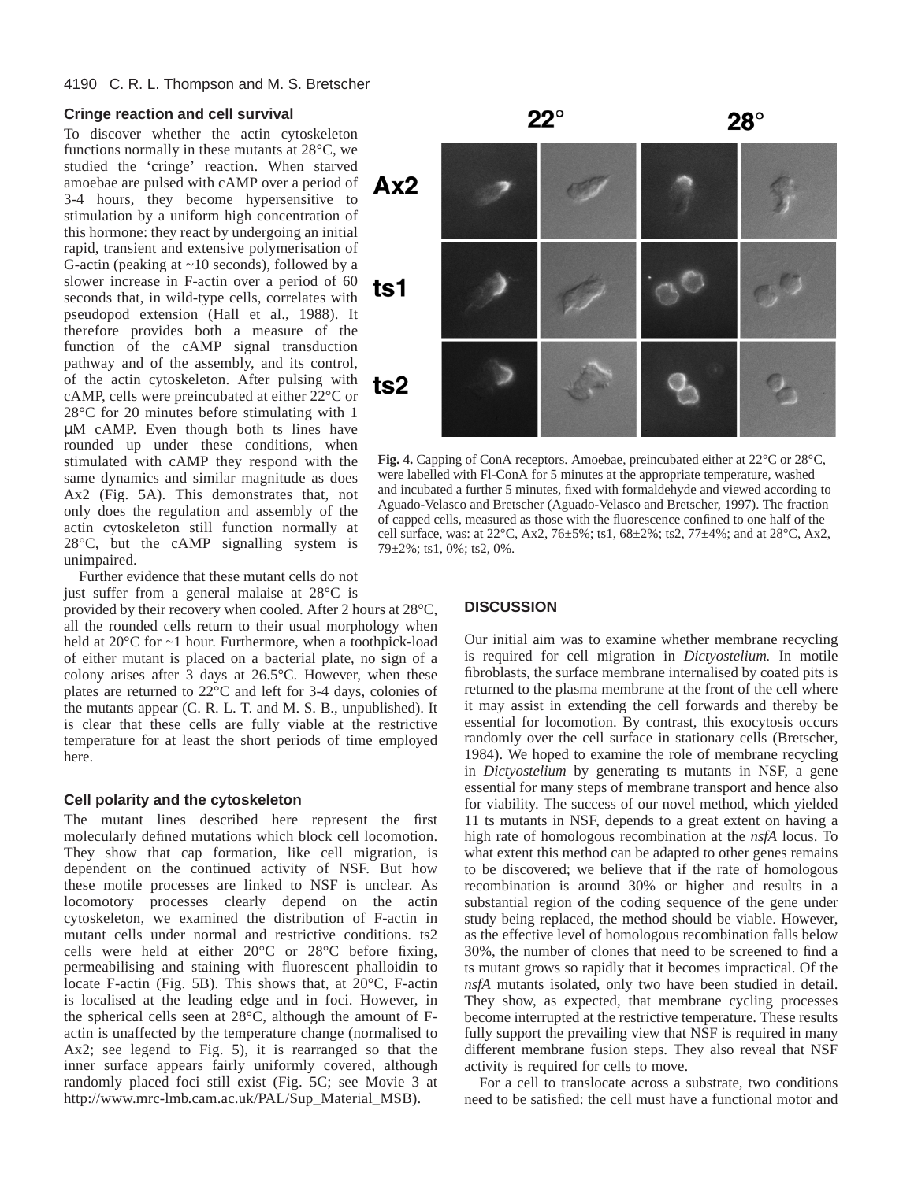# **Cringe reaction and cell survival**

To discover whether the actin cytoskeleton functions normally in these mutants at 28°C, we studied the 'cringe' reaction. When starved amoebae are pulsed with cAMP over a period of 3-4 hours, they become hypersensitive to stimulation by a uniform high concentration of this hormone: they react by undergoing an initial rapid, transient and extensive polymerisation of G-actin (peaking at  $\sim$ 10 seconds), followed by a slower increase in F-actin over a period of 60 seconds that, in wild-type cells, correlates with pseudopod extension (Hall et al., 1988). It therefore provides both a measure of the function of the cAMP signal transduction pathway and of the assembly, and its control, of the actin cytoskeleton. After pulsing with cAMP, cells were preincubated at either 22°C or 28°C for 20 minutes before stimulating with 1 µM cAMP. Even though both ts lines have rounded up under these conditions, when stimulated with cAMP they respond with the same dynamics and similar magnitude as does Ax2 (Fig. 5A). This demonstrates that, not only does the regulation and assembly of the actin cytoskeleton still function normally at 28°C, but the cAMP signalling system is unimpaired.

Further evidence that these mutant cells do not just suffer from a general malaise at 28°C is

provided by their recovery when cooled. After 2 hours at 28°C, all the rounded cells return to their usual morphology when held at 20°C for ~1 hour. Furthermore, when a toothpick-load of either mutant is placed on a bacterial plate, no sign of a colony arises after 3 days at 26.5°C. However, when these plates are returned to 22°C and left for 3-4 days, colonies of the mutants appear (C. R. L. T. and M. S. B., unpublished). It is clear that these cells are fully viable at the restrictive temperature for at least the short periods of time employed here.

# **Cell polarity and the cytoskeleton**

The mutant lines described here represent the first molecularly defined mutations which block cell locomotion. They show that cap formation, like cell migration, is dependent on the continued activity of NSF. But how these motile processes are linked to NSF is unclear. As locomotory processes clearly depend on the actin cytoskeleton, we examined the distribution of F-actin in mutant cells under normal and restrictive conditions. ts2 cells were held at either 20°C or 28°C before fixing, permeabilising and staining with fluorescent phalloidin to locate F-actin (Fig. 5B). This shows that, at 20°C, F-actin is localised at the leading edge and in foci. However, in the spherical cells seen at 28°C, although the amount of Factin is unaffected by the temperature change (normalised to Ax2; see legend to Fig. 5), it is rearranged so that the inner surface appears fairly uniformly covered, although randomly placed foci still exist (Fig. 5C; see Movie 3 at [http://www.mrc-lmb.cam.ac.uk/PAL/Sup\\_Material\\_MSB\).](http://www.mrc-lmb.cam.ac.uk/PAL/Sup_Material_MSB)



**Fig. 4.** Capping of ConA receptors. Amoebae, preincubated either at 22°C or 28°C, were labelled with Fl-ConA for 5 minutes at the appropriate temperature, washed and incubated a further 5 minutes, fixed with formaldehyde and viewed according to Aguado-Velasco and Bretscher (Aguado-Velasco and Bretscher, 1997). The fraction of capped cells, measured as those with the fluorescence confined to one half of the cell surface, was: at  $22^{\circ}\text{C}$ , Ax2,  $76\pm5\%$ ; ts1,  $68\pm2\%$ ; ts2,  $77\pm4\%$ ; and at  $28^{\circ}\text{C}$ , Ax2, 79±2%; ts1, 0%; ts2, 0%.

# **DISCUSSION**

Our initial aim was to examine whether membrane recycling is required for cell migration in *Dictyostelium.* In motile fibroblasts, the surface membrane internalised by coated pits is returned to the plasma membrane at the front of the cell where it may assist in extending the cell forwards and thereby be essential for locomotion. By contrast, this exocytosis occurs randomly over the cell surface in stationary cells (Bretscher, 1984). We hoped to examine the role of membrane recycling in *Dictyostelium* by generating ts mutants in NSF, a gene essential for many steps of membrane transport and hence also for viability. The success of our novel method, which yielded 11 ts mutants in NSF, depends to a great extent on having a high rate of homologous recombination at the *nsfA* locus. To what extent this method can be adapted to other genes remains to be discovered; we believe that if the rate of homologous recombination is around 30% or higher and results in a substantial region of the coding sequence of the gene under study being replaced, the method should be viable. However, as the effective level of homologous recombination falls below 30%, the number of clones that need to be screened to find a ts mutant grows so rapidly that it becomes impractical. Of the *nsfA* mutants isolated, only two have been studied in detail. They show, as expected, that membrane cycling processes become interrupted at the restrictive temperature. These results fully support the prevailing view that NSF is required in many different membrane fusion steps. They also reveal that NSF activity is required for cells to move.

For a cell to translocate across a substrate, two conditions need to be satisfied: the cell must have a functional motor and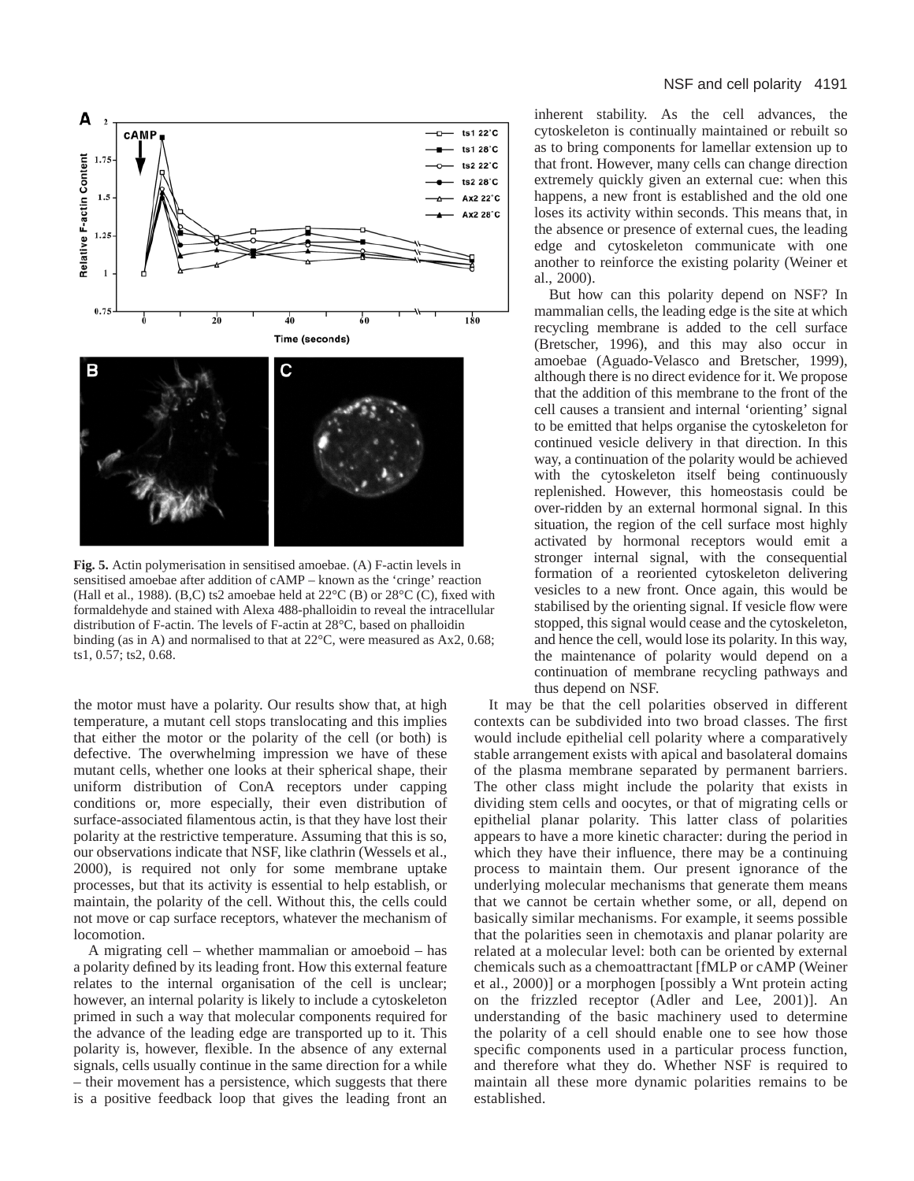

**Fig. 5.** Actin polymerisation in sensitised amoebae. (A) F-actin levels in sensitised amoebae after addition of cAMP – known as the 'cringe' reaction (Hall et al., 1988). (B,C) ts2 amoebae held at  $22^{\circ}$ C (B) or  $28^{\circ}$ C (C), fixed with formaldehyde and stained with Alexa 488-phalloidin to reveal the intracellular distribution of F-actin. The levels of F-actin at 28°C, based on phalloidin binding (as in A) and normalised to that at 22°C, were measured as Ax2, 0.68; ts1, 0.57; ts2, 0.68.

the motor must have a polarity. Our results show that, at high temperature, a mutant cell stops translocating and this implies that either the motor or the polarity of the cell (or both) is defective. The overwhelming impression we have of these mutant cells, whether one looks at their spherical shape, their uniform distribution of ConA receptors under capping conditions or, more especially, their even distribution of surface-associated filamentous actin, is that they have lost their polarity at the restrictive temperature. Assuming that this is so, our observations indicate that NSF, like clathrin (Wessels et al., 2000), is required not only for some membrane uptake processes, but that its activity is essential to help establish, or maintain, the polarity of the cell. Without this, the cells could not move or cap surface receptors, whatever the mechanism of locomotion.

A migrating cell – whether mammalian or amoeboid – has a polarity defined by its leading front. How this external feature relates to the internal organisation of the cell is unclear; however, an internal polarity is likely to include a cytoskeleton primed in such a way that molecular components required for the advance of the leading edge are transported up to it. This polarity is, however, flexible. In the absence of any external signals, cells usually continue in the same direction for a while – their movement has a persistence, which suggests that there is a positive feedback loop that gives the leading front an

inherent stability. As the cell advances, the cytoskeleton is continually maintained or rebuilt so as to bring components for lamellar extension up to that front. However, many cells can change direction extremely quickly given an external cue: when this happens, a new front is established and the old one loses its activity within seconds. This means that, in the absence or presence of external cues, the leading edge and cytoskeleton communicate with one another to reinforce the existing polarity (Weiner et al., 2000).

But how can this polarity depend on NSF? In mammalian cells, the leading edge is the site at which recycling membrane is added to the cell surface (Bretscher, 1996), and this may also occur in amoebae (Aguado-Velasco and Bretscher, 1999), although there is no direct evidence for it. We propose that the addition of this membrane to the front of the cell causes a transient and internal 'orienting' signal to be emitted that helps organise the cytoskeleton for continued vesicle delivery in that direction. In this way, a continuation of the polarity would be achieved with the cytoskeleton itself being continuously replenished. However, this homeostasis could be over-ridden by an external hormonal signal. In this situation, the region of the cell surface most highly activated by hormonal receptors would emit a stronger internal signal, with the consequential formation of a reoriented cytoskeleton delivering vesicles to a new front. Once again, this would be stabilised by the orienting signal. If vesicle flow were stopped, this signal would cease and the cytoskeleton, and hence the cell, would lose its polarity. In this way, the maintenance of polarity would depend on a continuation of membrane recycling pathways and thus depend on NSF.

It may be that the cell polarities observed in different contexts can be subdivided into two broad classes. The first would include epithelial cell polarity where a comparatively stable arrangement exists with apical and basolateral domains of the plasma membrane separated by permanent barriers. The other class might include the polarity that exists in dividing stem cells and oocytes, or that of migrating cells or epithelial planar polarity. This latter class of polarities appears to have a more kinetic character: during the period in which they have their influence, there may be a continuing process to maintain them. Our present ignorance of the underlying molecular mechanisms that generate them means that we cannot be certain whether some, or all, depend on basically similar mechanisms. For example, it seems possible that the polarities seen in chemotaxis and planar polarity are related at a molecular level: both can be oriented by external chemicals such as a chemoattractant [fMLP or cAMP (Weiner et al., 2000)] or a morphogen [possibly a Wnt protein acting on the frizzled receptor (Adler and Lee, 2001)]. An understanding of the basic machinery used to determine the polarity of a cell should enable one to see how those specific components used in a particular process function, and therefore what they do. Whether NSF is required to maintain all these more dynamic polarities remains to be established.